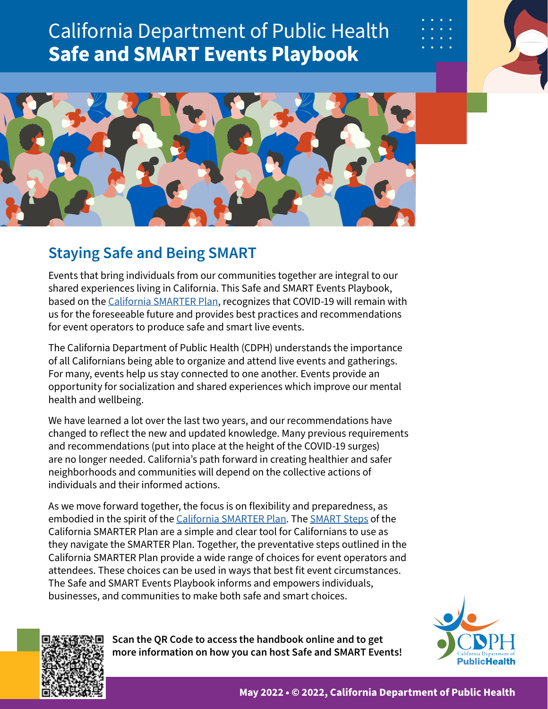# California Department of Public Health **Safe and SMART Events Playbook**



# **Staying Safe and Being SMART**

Events that bring individuals from our communities together are integral to our shared experiences living in California. This Safe and SMART Events Playbook, based on the [California SMARTER Plan,](https://files.covid19.ca.gov/pdf/smarter-plan--en.pdf) recognizes that COVID-19 will remain with us for the foreseeable future and provides best practices and recommendations for event operators to produce safe and smart live events.

The California Department of Public Health (CDPH) understands the importance of all Californians being able to organize and attend live events and gatherings. For many, events help us stay connected to one another. Events provide an opportunity for socialization and shared experiences which improve our mental health and wellbeing.

We have learned a lot over the last two years, and our recommendations have changed to reflect the new and updated knowledge. Many previous requirements and recommendations (put into place at the height of the COVID-19 surges) are no longer needed. California's path forward in creating healthier and safer neighborhoods and communities will depend on the collective actions of individuals and their informed actions.

As we move forward together, the focus is on flexibility and preparedness, as embodied in the spirit of the [California SMARTER Plan.](https://files.covid19.ca.gov/pdf/smarter-plan--en.pdf) The [SMART Steps](https://files.covid19.ca.gov/pdf/CA-Smarter-Plan-one-sheet--en.pdf) of the California SMARTER Plan are a simple and clear tool for Californians to use as they navigate the SMARTER Plan. Together, the preventative steps outlined in the California SMARTER Plan provide a wide range of choices for event operators and attendees. These choices can be used in ways that best fit event circumstances. The Safe and SMART Events Playbook informs and empowers individuals, businesses, and communities to make both safe and smart choices.

> **Scan the QR Code to access the handbook online and to get more information on how you can host Safe and SMART Events!**



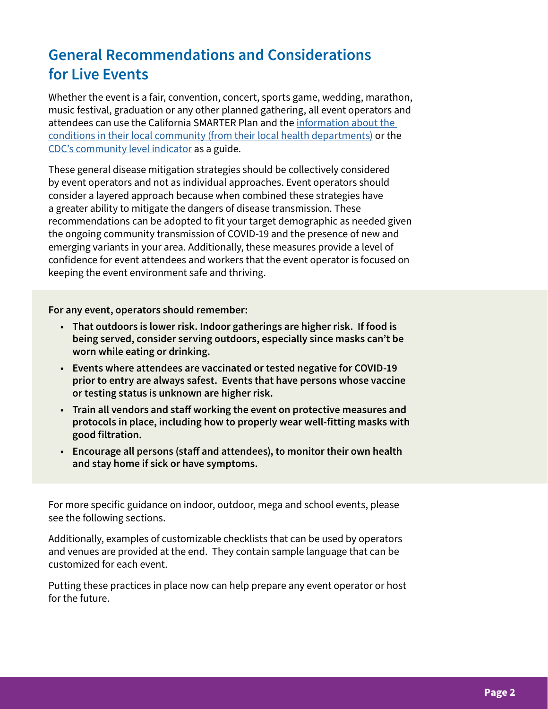# **General Recommendations and Considerations for Live Events**

Whether the event is a fair, convention, concert, sports game, wedding, marathon, music festival, graduation or any other planned gathering, all event operators and attendees can use the California SMARTER Plan and the [information about the](https://covid19.ca.gov/get-local-information/#County-websites)  [conditions in their local community \(from their local health departments\)](https://covid19.ca.gov/get-local-information/#County-websites) or the [CDC's community level indicator](https://www.cdc.gov/coronavirus/2019-ncov/science/community-levels.html#county-check) as a guide.

These general disease mitigation strategies should be collectively considered by event operators and not as individual approaches. Event operators should consider a layered approach because when combined these strategies have a greater ability to mitigate the dangers of disease transmission. These recommendations can be adopted to fit your target demographic as needed given the ongoing community transmission of COVID-19 and the presence of new and emerging variants in your area. Additionally, these measures provide a level of confidence for event attendees and workers that the event operator is focused on keeping the event environment safe and thriving.

**For any event, operators should remember:**

- **That outdoors is lower risk. Indoor gatherings are higher risk. If food is being served, consider serving outdoors, especially since masks can't be worn while eating or drinking.**
- **Events where attendees are vaccinated or tested negative for COVID-19 prior to entry are always safest. Events that have persons whose vaccine or testing status is unknown are higher risk.**
- **Train all vendors and staff working the event on protective measures and protocols in place, including how to properly wear well-fitting masks with good filtration.**
- **Encourage all persons (staff and attendees), to monitor their own health and stay home if sick or have symptoms.**

For more specific guidance on indoor, outdoor, mega and school events, please see the following sections.

Additionally, examples of customizable checklists that can be used by operators and venues are provided at the end. They contain sample language that can be customized for each event.

Putting these practices in place now can help prepare any event operator or host for the future.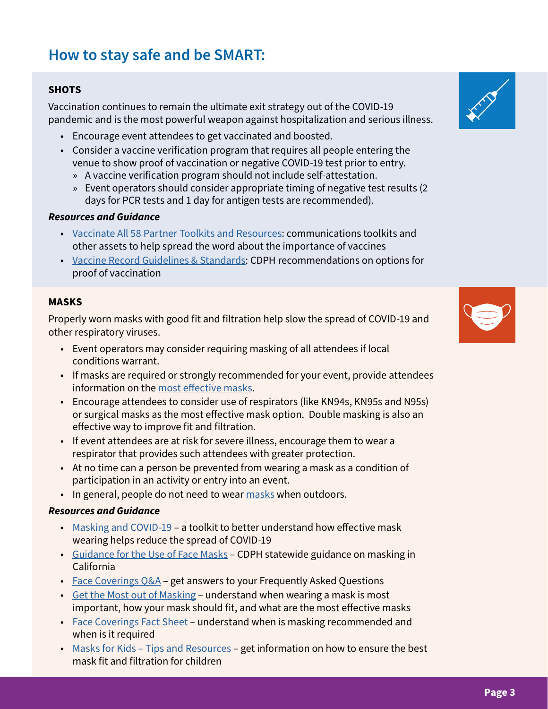# **How to stay safe and be SMART:**

# **SHOTS**

Vaccination continues to remain the ultimate exit strategy out of the COVID-19 pandemic and is the most powerful weapon against hospitalization and serious illness.

- Encourage event attendees to get vaccinated and boosted.
- Consider a vaccine verification program that requires all people entering the venue to show proof of vaccination or negative COVID-19 test prior to entry.
	- » A vaccine verification program should not include self-attestation.
	- » Event operators should consider appropriate timing of negative test results (2 days for PCR tests and 1 day for antigen tests are recommended).

# *Resources and Guidance*

- [Vaccinate All 58 Partner Toolkits and Resources:](https://toolkit.covid19.ca.gov/partners/) communications toolkits and other assets to help spread the word about the importance of vaccines
- [Vaccine Record Guidelines & Standards](https://www.cdph.ca.gov/Programs/CID/DCDC/Pages/COVID-19/Vaccine-Record-Guidelines-Standards.aspx): CDPH recommendations on options for proof of vaccination

### **MASKS**

Properly worn masks with good fit and filtration help slow the spread of COVID-19 and other respiratory viruses.

- Event operators may consider requiring masking of all attendees if local conditions warrant.
- If masks are required or strongly recommended for your event, provide attendees information on the [most effective masks.](https://www.cdph.ca.gov/Programs/CID/DCDC/Pages/COVID-19/Get-the-Most-out-of-Masking.aspx)
- Encourage attendees to consider use of respirators (like KN94s, KN95s and N95s) or surgical masks as the most effective mask option. Double masking is also an effective way to improve fit and filtration.
- If event attendees are at risk for severe illness, encourage them to wear a respirator that provides such attendees with greater protection.
- At no time can a person be prevented from wearing a mask as a condition of participation in an activity or entry into an event.
- In general, people do not need to wear [masks](https://www.cdc.gov/coronavirus/2019-ncov/prevent-getting-sick/masks.html) when outdoors.

# *Resources and Guidance*

- [Masking and COVID-19](https://www.cdph.ca.gov/Programs/OPA/Pages/Communications-Toolkits/Mask-Up.aspx) a toolkit to better understand how effective mask wearing helps reduce the spread of COVID-19
- [Guidance for the Use of Face Masks](https://www.cdph.ca.gov/Programs/CID/DCDC/Pages/COVID-19/guidance-for-face-coverings.aspx)  CDPH statewide guidance on masking in California
- [Face Coverings Q&A](https://www.cdph.ca.gov/Programs/CID/DCDC/Pages/COVID-19/Face-Coverings-QA.aspx)  get answers to your Frequently Asked Questions
- [Get the Most out of Masking](https://www.cdph.ca.gov/Programs/CID/DCDC/Pages/COVID-19/Get-the-Most-out-of-Masking.aspx)  understand when wearing a mask is most important, how your mask should fit, and what are the most effective masks
- [Face Coverings Fact Sheet](https://www.cdph.ca.gov/Programs/CID/DCDC/CDPH Document Library/COVID-19/Translations/Use-of-Face-Coverings-Fact-Sheets--en.pdf) understand when is masking recommended and when is it required
- Masks for Kids Tips and Resources get information on how to ensure the best mask fit and filtration for children



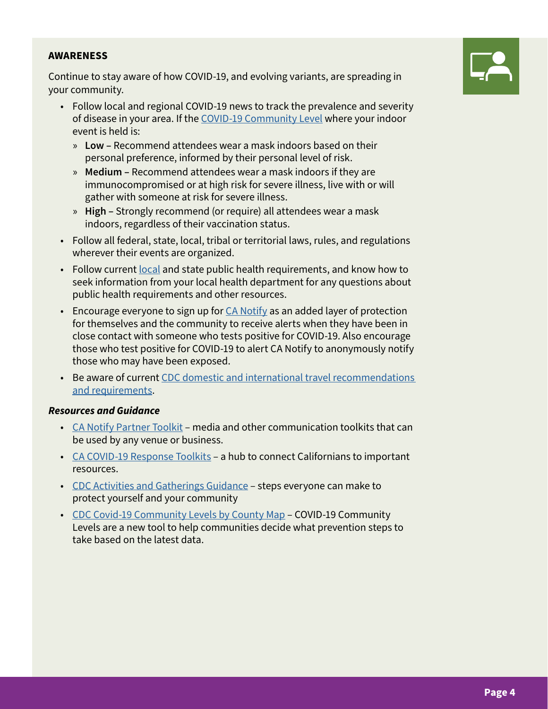# **AWARENESS**

Continue to stay aware of how COVID-19, and evolving variants, are spreading in your community.

- Follow local and regional COVID-19 news to track the prevalence and severity of disease in your area. If the [COVID-19 Community Level](https://www.cdc.gov/coronavirus/2019-ncov/your-health/covid-by-county.html) where your indoor event is held is:
	- » **Low** Recommend attendees wear a mask indoors based on their personal preference, informed by their personal level of risk.
	- » **Medium** Recommend attendees wear a mask indoors if they are immunocompromised or at high risk for severe illness, live with or will gather with someone at risk for severe illness.
	- » **High** Strongly recommend (or require) all attendees wear a mask indoors, regardless of their vaccination status.
- Follow all federal, state, local, tribal or territorial laws, rules, and regulations wherever their events are organized.
- Follow current [local](https://covid19.ca.gov/get-local-information/#County-websites) and state public health requirements, and know how to seek information from your local health department for any questions about public health requirements and other resources.
- **Encourage everyone to sign up for**  $CA$  **Notify as an added layer of protection** for themselves and the community to receive alerts when they have been in close contact with someone who tests positive for COVID-19. Also encourage those who test positive for COVID-19 to alert CA Notify to anonymously notify those who may have been exposed.
- Be aware of current [CDC domestic and international travel recommendations](https://www.cdc.gov/coronavirus/2019-ncov/travelers/index.html)  [and requirements](https://www.cdc.gov/coronavirus/2019-ncov/travelers/index.html).

# *Resources and Guidance*

- [CA Notify Partner Toolkit](https://canotify.ca.gov/partnertoolkit/) media and other communication toolkits that can be used by any venue or business.
- [CA COVID-19 Response Toolkits](https://toolkit.covid19.ca.gov/)  a hub to connect Californians to important resources.
- [CDC Activities and Gatherings Guidance](https://www.cdc.gov/coronavirus/2019-ncov/daily-life-coping/index.html) steps everyone can make to protect yourself and your community
- [CDC Covid-19 Community Levels by County Map](https://www.cdc.gov/coronavirus/2019-ncov/your-health/covid-by-county.html?CDC_AA_refVal=https%3A%2F%2Fwww.cdc.gov%2Fcoronavirus%2F2019-ncov%2Fscience%2Fcommunity-levels-county-map.html)  COVID-19 Community Levels are a new tool to help communities decide what prevention steps to take based on the latest data.

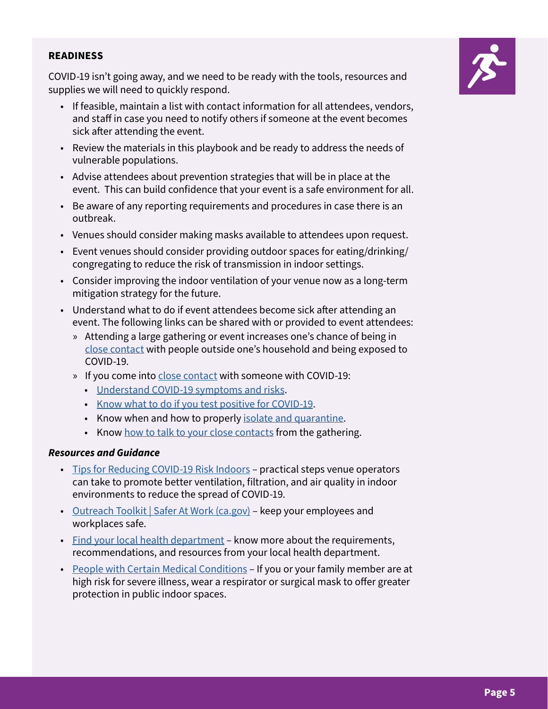### **READINESS**

COVID-19 isn't going away, and we need to be ready with the tools, resources and supplies we will need to quickly respond.

- If feasible, maintain a list with contact information for all attendees, vendors, and staff in case you need to notify others if someone at the event becomes sick after attending the event.
- Review the materials in this playbook and be ready to address the needs of vulnerable populations.
- Advise attendees about prevention strategies that will be in place at the event. This can build confidence that your event is a safe environment for all.
- Be aware of any reporting requirements and procedures in case there is an outbreak.
- Venues should consider making masks available to attendees upon request.
- Event venues should consider providing outdoor spaces for eating/drinking/ congregating to reduce the risk of transmission in indoor settings.
- Consider improving the indoor ventilation of your venue now as a long-term mitigation strategy for the future.
- Understand what to do if event attendees become sick after attending an event. The following links can be shared with or provided to event attendees:
	- » Attending a large gathering or event increases one's chance of being in [close contact](https://www.cdc.gov/coronavirus/2019-ncov/php/contact-tracing/contact-tracing-plan/appendix.html#contact) with people outside one's household and being exposed to COVID-19.
	- » If you come into [close contact](https://www.cdc.gov/coronavirus/2019-ncov/php/contact-tracing/contact-tracing-plan/appendix.html#contact) with someone with COVID-19:
		- [Understand COVID-19 symptoms and risks](https://www.cdph.ca.gov/Programs/CID/DCDC/Pages/COVID-19/Symptoms-Risks.aspx).
		- [Know what to do if you test positive for COVID-19.](https://www.cdph.ca.gov/Programs/CID/DCDC/Pages/COVID-19/What-to-do-if-You-Test-Positive-for-COVID-19.aspx)
		- Know when and how to properly [isolate and quarantine.](https://www.cdph.ca.gov/Programs/CID/DCDC/CDPH%20Document%20Library/COVID-19/self-isolation-instructions.pdf)
		- Know [how to talk to your close contacts](https://www.cdc.gov/coronavirus/2019-ncov/daily-life-coping/tell-your-contacts.html) from the gathering.

### *Resources and Guidance*

- [Tips for Reducing COVID-19 Risk Indoors](https://www.cdph.ca.gov/Programs/OPA/CDPH%20Document%20Library/Toolkits/Tips-for-Reducing-COVID-Risk-Indoors.pdf)  practical steps venue operators can take to promote better ventilation, filtration, and air quality in indoor environments to reduce the spread of COVID-19.
- [Outreach Toolkit | Safer At Work \(ca.gov\)](https://saferatwork.covid19.ca.gov/outreach-toolkit/)  keep your employees and workplaces safe.
- [Find your local health department](https://covid19.ca.gov/get-local-information/#County-websites)  know more about the requirements, recommendations, and resources from your local health department.
- [People with Certain Medical Conditions](https://www.cdc.gov/coronavirus/2019-ncov/need-extra-precautions/people-with-medical-conditions.html) If you or your family member are at high risk for severe illness, wear a respirator or surgical mask to offer greater protection in public indoor spaces.

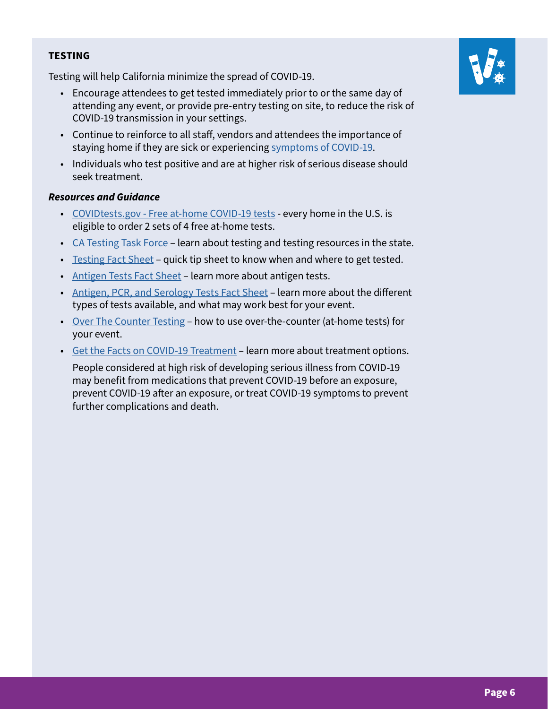Testing will help California minimize the spread of COVID-19.

- Encourage attendees to get tested immediately prior to or the same day of attending any event, or provide pre-entry testing on site, to reduce the risk of COVID-19 transmission in your settings.
- Continue to reinforce to all staff, vendors and attendees the importance of staying home if they are sick or experiencing [symptoms of COVID-19](https://www.cdc.gov/coronavirus/2019-ncov/symptoms-testing/symptoms.html).
- Individuals who test positive and are at higher risk of serious disease should seek treatment.

### *Resources and Guidance*

- [COVIDtests.gov Free at-home COVID-19 tests](https://www.covidtests.gov/)  every home in the U.S. is eligible to order 2 sets of 4 free at-home tests.
- [CA Testing Task Force](https://testing.covid19.ca.gov/testing-resources/)  learn about testing and testing resources in the state.
- [Testing Fact Sheet](https://www.cdph.ca.gov/Programs/OPA/CDPH Document Library/Toolkits/testing_ca/testing_handout.pdf)  quick tip sheet to know when and where to get tested.
- [Antigen Tests Fact Sheet](https://www.cdph.ca.gov/Programs/CID/DCDC/CDPH Document Library/COVID-19/Translations/Fact-Sheet-for-Antigen-Tests--en.pdf)  learn more about antigen tests.
- [Antigen, PCR, and Serology Tests Fact Sheet](https://www.cdph.ca.gov/Programs/CID/DCDC/CDPH Document Library/COVID-19/Translations/Fact-Sheet-for-PCR-Antigen-and-Serology-Tests--en.pdf)  learn more about the different types of tests available, and what may work best for your event.
- [Over The Counter Testing](https://www.cdph.ca.gov/Programs/OPA/CDPH%20Document%20Library/Toolkits/testing_ca/over_counter_testing.pdf)  how to use over-the-counter (at-home tests) for your event.
- [Get the Facts on COVID-19 Treatment](https://www.cdph.ca.gov/Programs/CID/DCDC/Pages/COVID-19/Get-the-Facts-on-Treatments.aspx) learn more about treatment options.

People considered at high risk of developing serious illness from COVID-19 may benefit from medications that prevent COVID-19 before an exposure, prevent COVID-19 after an exposure, or treat COVID-19 symptoms to prevent further complications and death.

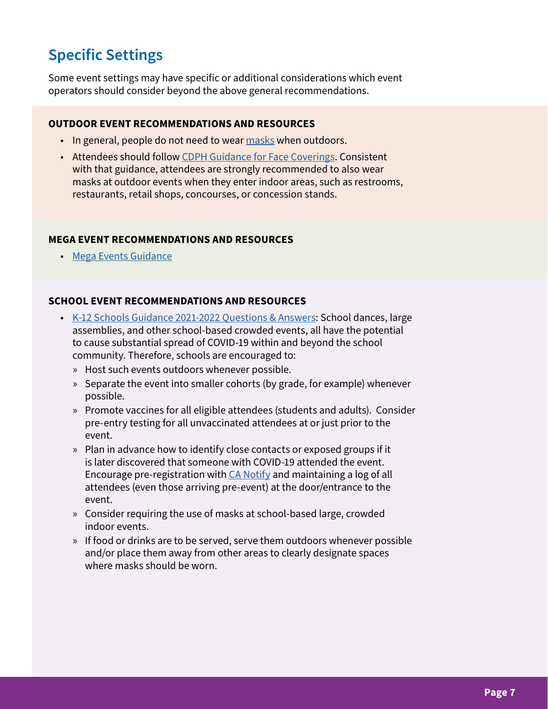# **Specific Settings**

Some event settings may have specific or additional considerations which event operators should consider beyond the above general recommendations.

### **OUTDOOR EVENT RECOMMENDATIONS AND RESOURCES**

- In general, people do not need to wear [masks](https://www.cdc.gov/coronavirus/2019-ncov/prevent-getting-sick/masks.html) when outdoors.
- Attendees should follow [CDPH Guidance for Face Coverings](https://www.cdph.ca.gov/Programs/CID/DCDC/Pages/COVID-19/guidance-for-face-coverings.aspx). Consistent with that guidance, attendees are strongly recommended to also wear masks at outdoor events when they enter indoor areas, such as restrooms, restaurants, retail shops, concourses, or concession stands.

# **MEGA EVENT RECOMMENDATIONS AND RESOURCES**

• [Mega Events Guidance](https://www.cdph.ca.gov/Programs/CID/DCDC/Pages/COVID-19/Beyond-Blueprint-Framework.aspx)

### **SCHOOL EVENT RECOMMENDATIONS AND RESOURCES**

- [K-12 Schools Guidance 2021-2022 Questions & Answers:](https://www.cdph.ca.gov/Programs/CID/DCDC/Pages/COVID-19/Schools-FAQ.aspx) School dances, large assemblies, and other school-based crowded events, all have the potential to cause substantial spread of COVID-19 within and beyond the school community. Therefore, schools are encouraged to:
	- » Host such events outdoors whenever possible.
	- » Separate the event into smaller cohorts (by grade, for example) whenever possible.
	- » Promote vaccines for all eligible attendees (students and adults). Consider pre-entry testing for all unvaccinated attendees at or just prior to the event.
	- » Plan in advance how to identify close contacts or exposed groups if it is later discovered that someone with COVID-19 attended the event. Encourage pre-registration with [CA Notify](https://canotify.ca.gov/) and maintaining a log of all attendees (even those arriving pre-event) at the door/entrance to the event.
	- » Consider requiring the use of masks at school-based large, crowded indoor events.
	- » If food or drinks are to be served, serve them outdoors whenever possible and/or place them away from other areas to clearly designate spaces where masks should be worn.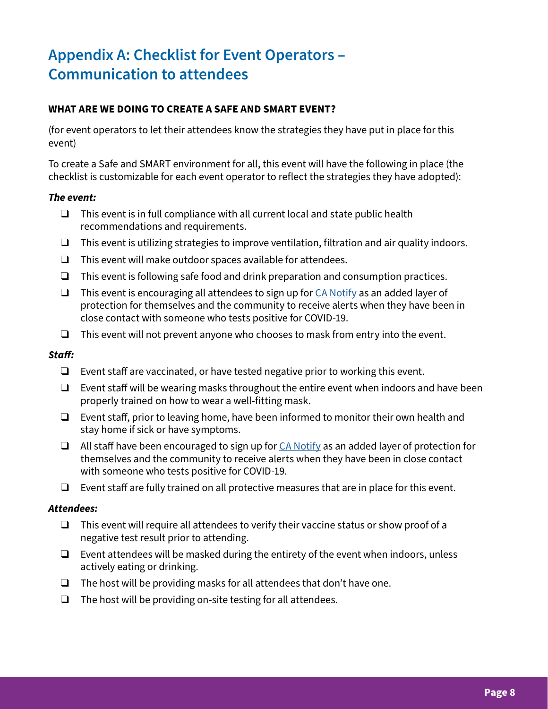# **Appendix A: Checklist for Event Operators – Communication to attendees**

# **WHAT ARE WE DOING TO CREATE A SAFE AND SMART EVENT?**

(for event operators to let their attendees know the strategies they have put in place for this event)

To create a Safe and SMART environment for all, this event will have the following in place (the checklist is customizable for each event operator to reflect the strategies they have adopted):

### *The event:*

- $\Box$  This event is in full compliance with all current local and state public health recommendations and requirements.
- ❑ This event is utilizing strategies to improve ventilation, filtration and air quality indoors.
- ❑ This event will make outdoor spaces available for attendees.
- $\Box$  This event is following safe food and drink preparation and consumption practices.
- ❑ This event is encouraging all attendees to sign up for [CA Notify](https://canotify.ca.gov/#section2) as an added layer of protection for themselves and the community to receive alerts when they have been in close contact with someone who tests positive for COVID-19.
- $\Box$  This event will not prevent anyone who chooses to mask from entry into the event.

# *Staff:*

- ❑ Event staff are vaccinated, or have tested negative prior to working this event.
- ❑ Event staff will be wearing masks throughout the entire event when indoors and have been properly trained on how to wear a well-fitting mask.
- ❑ Event staff, prior to leaving home, have been informed to monitor their own health and stay home if sick or have symptoms.
- $\Box$  All staff have been encouraged to sign up for  $CA$  Notify as an added layer of protection for themselves and the community to receive alerts when they have been in close contact with someone who tests positive for COVID-19.
- ❑ Event staff are fully trained on all protective measures that are in place for this event.

### *Attendees:*

- ❑ This event will require all attendees to verify their vaccine status or show proof of a negative test result prior to attending.
- $\Box$  Event attendees will be masked during the entirety of the event when indoors, unless actively eating or drinking.
- $\Box$  The host will be providing masks for all attendees that don't have one.
- ❑ The host will be providing on-site testing for all attendees.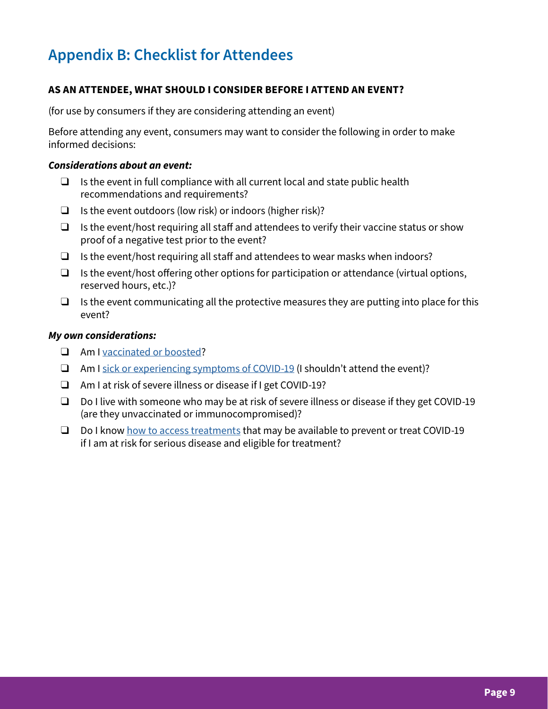# **Appendix B: Checklist for Attendees**

# **AS AN ATTENDEE, WHAT SHOULD I CONSIDER BEFORE I ATTEND AN EVENT?**

(for use by consumers if they are considering attending an event)

Before attending any event, consumers may want to consider the following in order to make informed decisions:

#### *Considerations about an event:*

- $\Box$  Is the event in full compliance with all current local and state public health recommendations and requirements?
- $\Box$  Is the event outdoors (low risk) or indoors (higher risk)?
- $\Box$  Is the event/host requiring all staff and attendees to verify their vaccine status or show proof of a negative test prior to the event?
- $\Box$  Is the event/host requiring all staff and attendees to wear masks when indoors?
- ❑ Is the event/host offering other options for participation or attendance (virtual options, reserved hours, etc.)?
- $\Box$  Is the event communicating all the protective measures they are putting into place for this event?

### *My own considerations:*

- ❑ Am I [vaccinated or boosted?](https://www.cdc.gov/coronavirus/2019-ncov/vaccines/stay-up-to-date.html)
- ❑ Am I [sick or experiencing symptoms of COVID-19](https://www.cdph.ca.gov/Programs/CID/DCDC/Pages/COVID-19/Symptoms-Risks.aspx) (I shouldn't attend the event)?
- ❑ Am I at risk of severe illness or disease if I get COVID-19?
- ❑ Do I live with someone who may be at risk of severe illness or disease if they get COVID-19 (are they unvaccinated or immunocompromised)?
- □ Do I know [how to access treatments](https://www.cdph.ca.gov/Programs/CID/DCDC/Pages/COVID-19/Get-the-Facts-on-Treatments.aspx) that may be available to prevent or treat COVID-19 if I am at risk for serious disease and eligible for treatment?